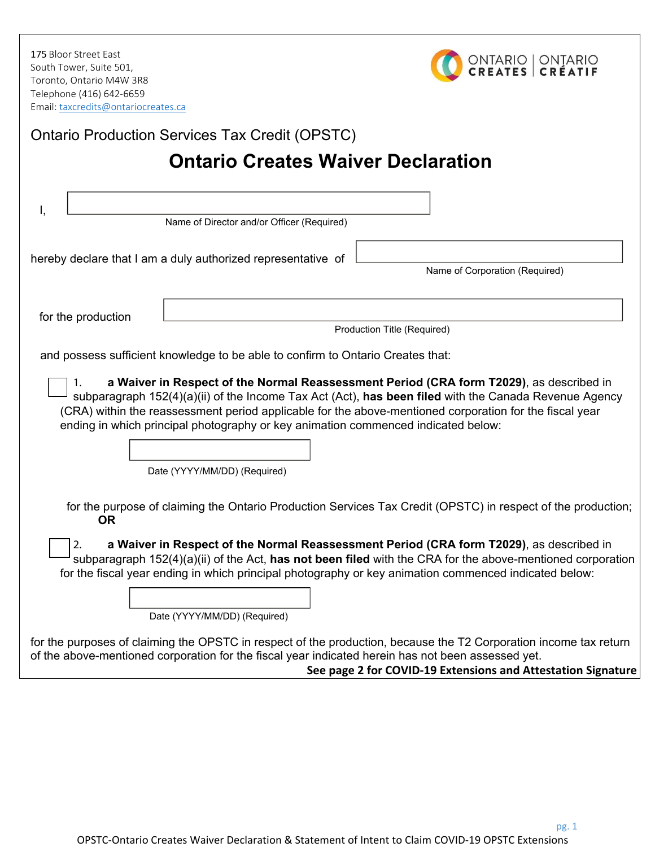175 Bloor Street East South Tower, Suite 501, Toronto, Ontario M4W 3R8 Telephone (416) 642‐6659 Email: taxcredits@ontariocreates.ca



pg. 1

| <b>Ontario Production Services Tax Credit (OPSTC)</b>                                                                                                                                                                                                                                                                                 |  |
|---------------------------------------------------------------------------------------------------------------------------------------------------------------------------------------------------------------------------------------------------------------------------------------------------------------------------------------|--|
| <b>Ontario Creates Waiver Declaration</b>                                                                                                                                                                                                                                                                                             |  |
|                                                                                                                                                                                                                                                                                                                                       |  |
|                                                                                                                                                                                                                                                                                                                                       |  |
| Name of Director and/or Officer (Required)                                                                                                                                                                                                                                                                                            |  |
| hereby declare that I am a duly authorized representative of                                                                                                                                                                                                                                                                          |  |
| Name of Corporation (Required)                                                                                                                                                                                                                                                                                                        |  |
|                                                                                                                                                                                                                                                                                                                                       |  |
| for the production                                                                                                                                                                                                                                                                                                                    |  |
| Production Title (Required)                                                                                                                                                                                                                                                                                                           |  |
| and possess sufficient knowledge to be able to confirm to Ontario Creates that:                                                                                                                                                                                                                                                       |  |
| subparagraph 152(4)(a)(ii) of the Income Tax Act (Act), has been filed with the Canada Revenue Agency<br>(CRA) within the reassessment period applicable for the above-mentioned corporation for the fiscal year<br>ending in which principal photography or key animation commenced indicated below:<br>Date (YYYY/MM/DD) (Required) |  |
| for the purpose of claiming the Ontario Production Services Tax Credit (OPSTC) in respect of the production;<br><b>OR</b>                                                                                                                                                                                                             |  |
| a Waiver in Respect of the Normal Reassessment Period (CRA form T2029), as described in<br>2.<br>subparagraph 152(4)(a)(ii) of the Act, has not been filed with the CRA for the above-mentioned corporation<br>for the fiscal year ending in which principal photography or key animation commenced indicated below:                  |  |
| Date (YYYY/MM/DD) (Required)                                                                                                                                                                                                                                                                                                          |  |
| for the purposes of claiming the OPSTC in respect of the production, because the T2 Corporation income tax return<br>of the above-mentioned corporation for the fiscal year indicated herein has not been assessed yet.<br>See page 2 for COVID-19 Extensions and Attestation Signature                                               |  |